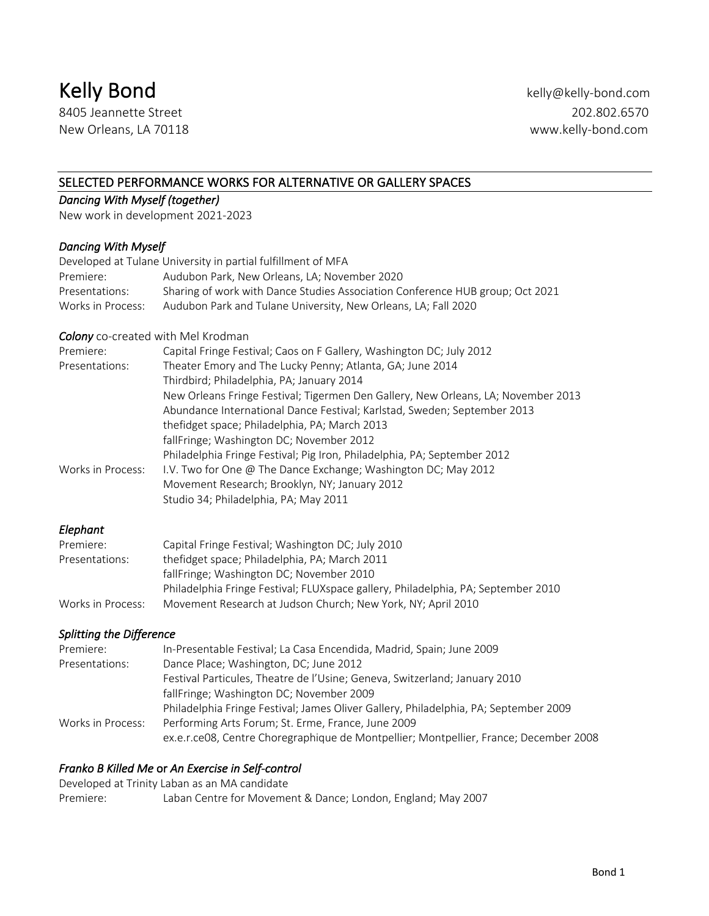# Kelly Bond **Kelly Bond Kelly Bond Kelly Bond Kelly-bond.com**

8405 Jeannette Street 202.802.6570 New Orleans, LA 70118 www.kelly-bond.com

#### SELECTED PERFORMANCE WORKS FOR ALTERNATIVE OR GALLERY SPACES

### *Dancing With Myself (together)*

New work in development 2021-2023

#### *Dancing With Myself*

|                   | Developed at Tulane University in partial fulfillment of MFA                  |
|-------------------|-------------------------------------------------------------------------------|
| Premiere:         | Audubon Park. New Orleans. LA: November 2020                                  |
| Presentations:    | Sharing of work with Dance Studies Association Conference HUB group; Oct 2021 |
| Works in Process: | Audubon Park and Tulane University, New Orleans, LA; Fall 2020                |

#### *Colony* co-created with Mel Krodman

| Premiere:         | Capital Fringe Festival; Caos on F Gallery, Washington DC; July 2012              |
|-------------------|-----------------------------------------------------------------------------------|
| Presentations:    | Theater Emory and The Lucky Penny; Atlanta, GA; June 2014                         |
|                   | Thirdbird; Philadelphia, PA; January 2014                                         |
|                   | New Orleans Fringe Festival; Tigermen Den Gallery, New Orleans, LA; November 2013 |
|                   | Abundance International Dance Festival; Karlstad, Sweden; September 2013          |
|                   | thefidget space; Philadelphia, PA; March 2013                                     |
|                   | fallFringe; Washington DC; November 2012                                          |
|                   | Philadelphia Fringe Festival; Pig Iron, Philadelphia, PA; September 2012          |
| Works in Process: | I.V. Two for One @ The Dance Exchange; Washington DC; May 2012                    |
|                   | Movement Research; Brooklyn, NY; January 2012                                     |
|                   | Studio 34; Philadelphia, PA; May 2011                                             |
|                   |                                                                                   |

#### *Elephant*

| Premiere:         | Capital Fringe Festival; Washington DC; July 2010                                 |
|-------------------|-----------------------------------------------------------------------------------|
| Presentations:    | thefidget space; Philadelphia, PA; March 2011                                     |
|                   | fallFringe; Washington DC; November 2010                                          |
|                   | Philadelphia Fringe Festival; FLUXspace gallery, Philadelphia, PA; September 2010 |
| Works in Process: | Movement Research at Judson Church: New York, NY: April 2010                      |

#### *Splitting the Difference*

| ex.e.r.ce08, Centre Choregraphique de Montpellier; Montpellier, France; December 2008 |
|---------------------------------------------------------------------------------------|
|                                                                                       |

#### *Franko B Killed Me* or *An Exercise in Self-control*

Developed at Trinity Laban as an MA candidate Premiere: Laban Centre for Movement & Dance; London, England; May 2007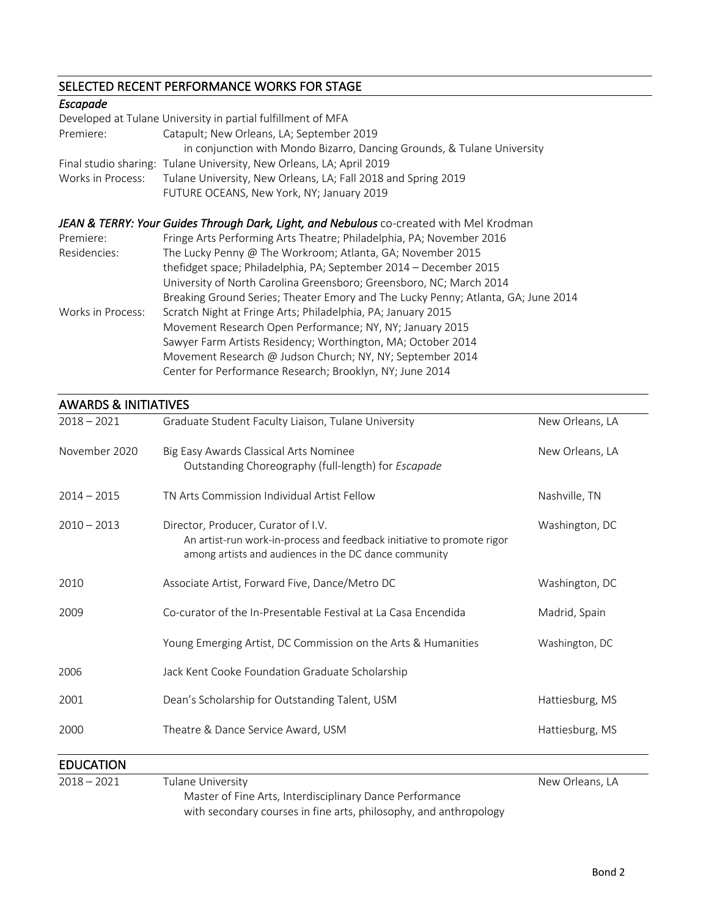# SELECTED RECENT PERFORMANCE WORKS FOR STAGE

| Escapade          |                                                                                         |
|-------------------|-----------------------------------------------------------------------------------------|
|                   | Developed at Tulane University in partial fulfillment of MFA                            |
| Premiere:         | Catapult; New Orleans, LA; September 2019                                               |
|                   | in conjunction with Mondo Bizarro, Dancing Grounds, & Tulane University                 |
|                   | Final studio sharing: Tulane University, New Orleans, LA; April 2019                    |
| Works in Process: | Tulane University, New Orleans, LA; Fall 2018 and Spring 2019                           |
|                   | FUTURE OCEANS, New York, NY; January 2019                                               |
|                   |                                                                                         |
|                   | JEAN & TERRY: Your Guides Through Dark, Light, and Nebulous co-created with Mel Krodman |
| Premiere:         | Fringe Arts Performing Arts Theatre; Philadelphia, PA; November 2016                    |
| Residencies:      | The Lucky Penny @ The Workroom; Atlanta, GA; November 2015                              |
|                   | thefidget space; Philadelphia, PA; September 2014 - December 2015                       |
|                   | University of North Carolina Greensboro; Greensboro, NC; March 2014                     |
|                   | Breaking Ground Series; Theater Emory and The Lucky Penny; Atlanta, GA; June 2014       |
| Works in Process: | Scratch Night at Fringe Arts; Philadelphia, PA; January 2015                            |
|                   | Movement Research Open Performance; NY, NY; January 2015                                |
|                   | Sawyer Farm Artists Residency; Worthington, MA; October 2014                            |
|                   | Movement Research @ Judson Church; NY, NY; September 2014                               |
|                   | Center for Performance Research; Brooklyn, NY; June 2014                                |

## AWARDS & INITIATIVES

| $2018 - 2021$    | Graduate Student Faculty Liaison, Tulane University                                                                                                                    | New Orleans, LA |
|------------------|------------------------------------------------------------------------------------------------------------------------------------------------------------------------|-----------------|
| November 2020    | Big Easy Awards Classical Arts Nominee<br>Outstanding Choreography (full-length) for Escapade                                                                          | New Orleans, LA |
| $2014 - 2015$    | TN Arts Commission Individual Artist Fellow                                                                                                                            | Nashville, TN   |
| $2010 - 2013$    | Director, Producer, Curator of I.V.<br>An artist-run work-in-process and feedback initiative to promote rigor<br>among artists and audiences in the DC dance community | Washington, DC  |
| 2010             | Associate Artist, Forward Five, Dance/Metro DC                                                                                                                         | Washington, DC  |
| 2009             | Co-curator of the In-Presentable Festival at La Casa Encendida                                                                                                         | Madrid, Spain   |
|                  | Young Emerging Artist, DC Commission on the Arts & Humanities                                                                                                          | Washington, DC  |
| 2006             | Jack Kent Cooke Foundation Graduate Scholarship                                                                                                                        |                 |
| 2001             | Dean's Scholarship for Outstanding Talent, USM                                                                                                                         | Hattiesburg, MS |
| 2000             | Theatre & Dance Service Award, USM                                                                                                                                     | Hattiesburg, MS |
| <b>EDUCATION</b> |                                                                                                                                                                        |                 |
| $2018 - 2021$    | Tulane University<br>Master of Fine Arts, Interdisciplinary Dance Performance<br>with secondary courses in fine arts, philosophy, and anthropology                     | New Orleans, LA |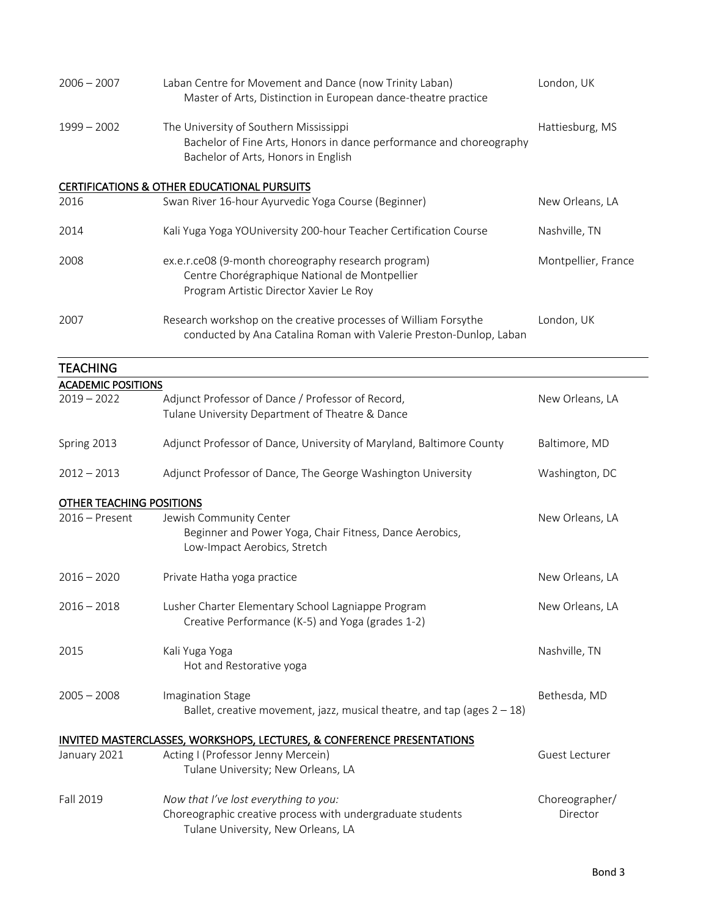| $2006 - 2007$                              | Laban Centre for Movement and Dance (now Trinity Laban)<br>Master of Arts, Distinction in European dance-theatre practice                            | London, UK                 |
|--------------------------------------------|------------------------------------------------------------------------------------------------------------------------------------------------------|----------------------------|
| $1999 - 2002$                              | The University of Southern Mississippi<br>Bachelor of Fine Arts, Honors in dance performance and choreography<br>Bachelor of Arts, Honors in English | Hattiesburg, MS            |
|                                            | CERTIFICATIONS & OTHER EDUCATIONAL PURSUITS                                                                                                          |                            |
| 2016                                       | Swan River 16-hour Ayurvedic Yoga Course (Beginner)                                                                                                  | New Orleans, LA            |
| 2014                                       | Kali Yuga Yoga YOUniversity 200-hour Teacher Certification Course                                                                                    | Nashville, TN              |
| 2008                                       | ex.e.r.ce08 (9-month choreography research program)<br>Centre Chorégraphique National de Montpellier<br>Program Artistic Director Xavier Le Roy      | Montpellier, France        |
| 2007                                       | Research workshop on the creative processes of William Forsythe<br>conducted by Ana Catalina Roman with Valerie Preston-Dunlop, Laban                | London, UK                 |
| <b>TEACHING</b>                            |                                                                                                                                                      |                            |
| <b>ACADEMIC POSITIONS</b><br>$2019 - 2022$ | Adjunct Professor of Dance / Professor of Record,<br>Tulane University Department of Theatre & Dance                                                 | New Orleans, LA            |
| Spring 2013                                | Adjunct Professor of Dance, University of Maryland, Baltimore County                                                                                 | Baltimore, MD              |
| $2012 - 2013$                              | Adjunct Professor of Dance, The George Washington University                                                                                         | Washington, DC             |
| OTHER TEACHING POSITIONS                   |                                                                                                                                                      |                            |
| $2016$ – Present                           | Jewish Community Center<br>Beginner and Power Yoga, Chair Fitness, Dance Aerobics,<br>Low-Impact Aerobics, Stretch                                   | New Orleans, LA            |
| $2016 - 2020$                              | Private Hatha yoga practice                                                                                                                          | New Orleans, LA            |
| $2016 - 2018$                              | Lusher Charter Elementary School Lagniappe Program<br>Creative Performance (K-5) and Yoga (grades 1-2)                                               | New Orleans, LA            |
| 2015                                       | Kali Yuga Yoga<br>Hot and Restorative yoga                                                                                                           | Nashville, TN              |
| $2005 - 2008$                              | Imagination Stage<br>Ballet, creative movement, jazz, musical theatre, and tap (ages $2 - 18$ )                                                      | Bethesda, MD               |
|                                            | INVITED MASTERCLASSES, WORKSHOPS, LECTURES, & CONFERENCE PRESENTATIONS                                                                               |                            |
| January 2021                               | Acting I (Professor Jenny Mercein)<br>Tulane University; New Orleans, LA                                                                             | Guest Lecturer             |
| Fall 2019                                  | Now that I've lost everything to you:<br>Choreographic creative process with undergraduate students<br>Tulane University, New Orleans, LA            | Choreographer/<br>Director |